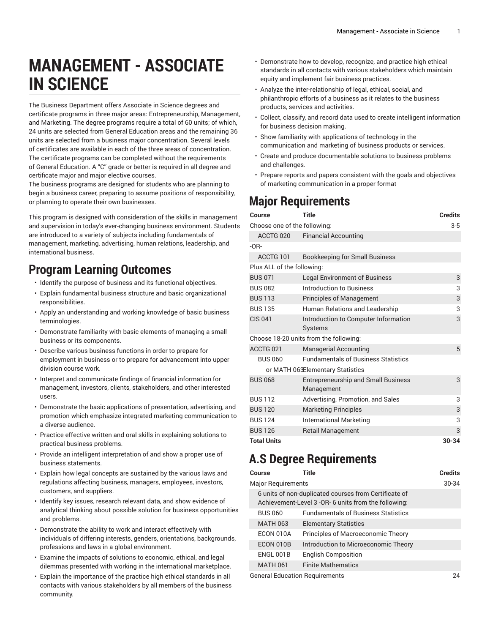# **MANAGEMENT - ASSOCIATE IN SCIENCE**

The Business Department offers Associate in Science degrees and certificate programs in three major areas: Entrepreneurship, Management, and Marketing. The degree programs require a total of 60 units; of which, 24 units are selected from General Education areas and the remaining 36 units are selected from a business major concentration. Several levels of certificates are available in each of the three areas of concentration. The certificate programs can be completed without the requirements of General Education. A "C" grade or better is required in all degree and certificate major and major elective courses.

The business programs are designed for students who are planning to begin a business career, preparing to assume positions of responsibility, or planning to operate their own businesses.

This program is designed with consideration of the skills in management and supervision in today's ever-changing business environment. Students are introduced to a variety of subjects including fundamentals of management, marketing, advertising, human relations, leadership, and international business.

#### **Program Learning Outcomes**

- Identify the purpose of business and its functional objectives.
- Explain fundamental business structure and basic organizational responsibilities.
- Apply an understanding and working knowledge of basic business terminologies.
- Demonstrate familiarity with basic elements of managing a small business or its components.
- Describe various business functions in order to prepare for employment in business or to prepare for advancement into upper division course work.
- Interpret and communicate findings of financial information for management, investors, clients, stakeholders, and other interested users.
- Demonstrate the basic applications of presentation, advertising, and promotion which emphasize integrated marketing communication to a diverse audience.
- Practice effective written and oral skills in explaining solutions to practical business problems.
- Provide an intelligent interpretation of and show a proper use of business statements.
- Explain how legal concepts are sustained by the various laws and regulations affecting business, managers, employees, investors, customers, and suppliers.
- Identify key issues, research relevant data, and show evidence of analytical thinking about possible solution for business opportunities and problems.
- Demonstrate the ability to work and interact effectively with individuals of differing interests, genders, orientations, backgrounds, professions and laws in a global environment.
- Examine the impacts of solutions to economic, ethical, and legal dilemmas presented with working in the international marketplace.
- Explain the importance of the practice high ethical standards in all contacts with various stakeholders by all members of the business community.
- Demonstrate how to develop, recognize, and practice high ethical standards in all contacts with various stakeholders which maintain equity and implement fair business practices.
- Analyze the inter-relationship of legal, ethical, social, and philanthropic efforts of a business as it relates to the business products, services and activities.
- Collect, classify, and record data used to create intelligent information for business decision making.
- Show familiarity with applications of technology in the communication and marketing of business products or services.
- Create and produce documentable solutions to business problems and challenges.
- Prepare reports and papers consistent with the goals and objectives of marketing communication in a proper format

## **Major Requirements**

| Course                                 | <b>Title</b>                                             | <b>Credits</b> |  |
|----------------------------------------|----------------------------------------------------------|----------------|--|
| Choose one of the following:           |                                                          |                |  |
| ACCTG 020                              | <b>Financial Accounting</b>                              |                |  |
| $-OR-$                                 |                                                          |                |  |
| ACCTG 101                              | <b>Bookkeeping for Small Business</b>                    |                |  |
| Plus ALL of the following:             |                                                          |                |  |
| <b>BUS 071</b>                         | <b>Legal Environment of Business</b>                     | 3              |  |
| <b>BUS 082</b>                         | Introduction to Business                                 | 3              |  |
| <b>BUS 113</b>                         | <b>Principles of Management</b>                          | 3              |  |
| <b>BUS 135</b>                         | Human Relations and Leadership                           | 3              |  |
| <b>CIS 041</b>                         | Introduction to Computer Information                     | 3              |  |
|                                        | <b>Systems</b>                                           |                |  |
| Choose 18-20 units from the following: |                                                          |                |  |
| ACCTG <sub>021</sub>                   | <b>Managerial Accounting</b>                             | 5              |  |
| <b>BUS 060</b>                         | <b>Fundamentals of Business Statistics</b>               |                |  |
| or MATH 063Elementary Statistics       |                                                          |                |  |
| <b>BUS 068</b>                         | <b>Entrepreneurship and Small Business</b><br>Management | 3              |  |
| <b>BUS 112</b>                         | Advertising, Promotion, and Sales                        | 3              |  |
| <b>BUS 120</b>                         | <b>Marketing Principles</b>                              | 3              |  |
| <b>BUS 124</b>                         | <b>International Marketing</b>                           | 3              |  |
| <b>BUS 126</b>                         | <b>Retail Management</b>                                 | 3              |  |
| <b>Total Units</b>                     |                                                          | $30 - 34$      |  |

### **A.S Degree Requirements**

| Course                         | Title                                                                                                         | <b>Credits</b> |
|--------------------------------|---------------------------------------------------------------------------------------------------------------|----------------|
| <b>Major Requirements</b>      |                                                                                                               | 30-34          |
|                                | 6 units of non-duplicated courses from Certificate of<br>Achievement-Level 3 -OR- 6 units from the following: |                |
| <b>BUS 060</b>                 | <b>Fundamentals of Business Statistics</b>                                                                    |                |
| <b>MATH 063</b>                | <b>Elementary Statistics</b>                                                                                  |                |
| ECON 010A                      | Principles of Macroeconomic Theory                                                                            |                |
| ECON 010B                      | Introduction to Microeconomic Theory                                                                          |                |
| ENGL 001B                      | <b>English Composition</b>                                                                                    |                |
| <b>MATH 061</b>                | <b>Finite Mathematics</b>                                                                                     |                |
| General Education Requirements |                                                                                                               |                |